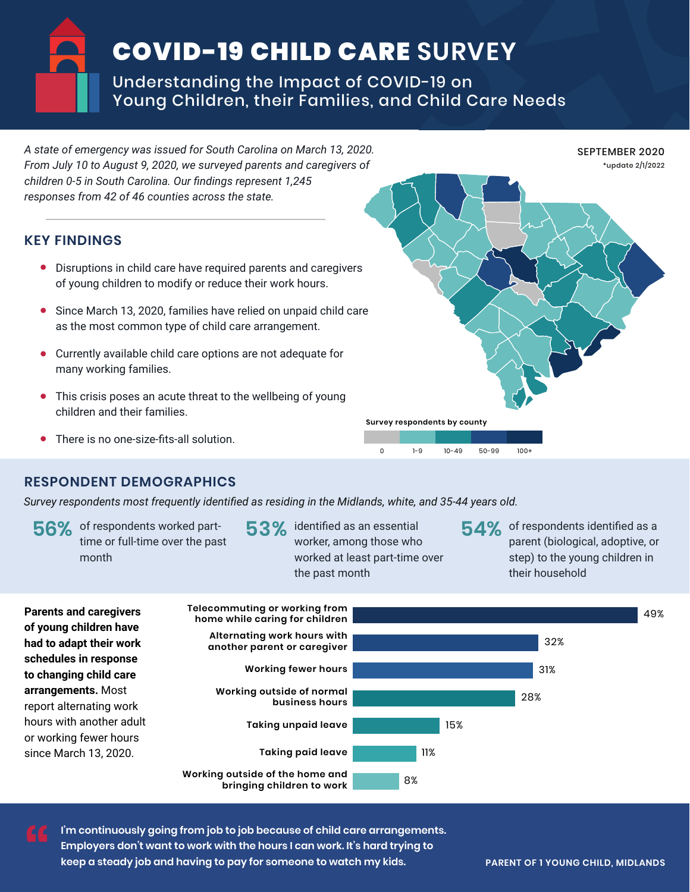## COVID-19 CHILD CARE **SURVEY**

Understanding the Impact of COVID-19 on Young Children, their Families, and Child Care Needs

**KEY FINDINGS** Disruptions in child care have required parents and caregivers of young children to modify or reduce their work hours. Since March 13, 2020, families have relied on unpaid child care as the most common type of child care arrangement. Currently available child care options are not adequate for many working families. This crisis poses an acute threat to the wellbeing of young children and their families. There is no one-size-fits-all solution. *A state of emergency was issued for South Carolina on March 13, 2020. From July 10 to August 9, 2020, we surveyed parents and caregivers of children 0-5 in South Carolina. Our findings represent 1,245 responses from 42 of 46 counties across the state.*  SEPTEMBER 2020 \*update 2/1/2022 **Survey respondents by county** 0 1-9 10-49 50-99 100+

## **RESPONDENT DEMOGRAPHICS**

*Survey respondents most frequently identified as residing in the Midlands, white, and 35-44 years old.*

- **56%** of respondents worked part-<br> **53% identified as an essential**<br> **54% 54%**<br> **53% identified as an essential** time or full-time over the past month
- $53\%$  identified as an essential worker, among those who worked at least part-time over the past month
- 54% of respondents identified as a parent (biological, adoptive, or step) to the young children in their household



**I'm continuously going from job to job because of child care arrangements. Employers don't want to work with the hours I can work. It's hard trying to**  keep a steady job and having to pay for someone to watch my kids. **PARENT OF 1 YOUNG CHILD, MIDLANDS "**